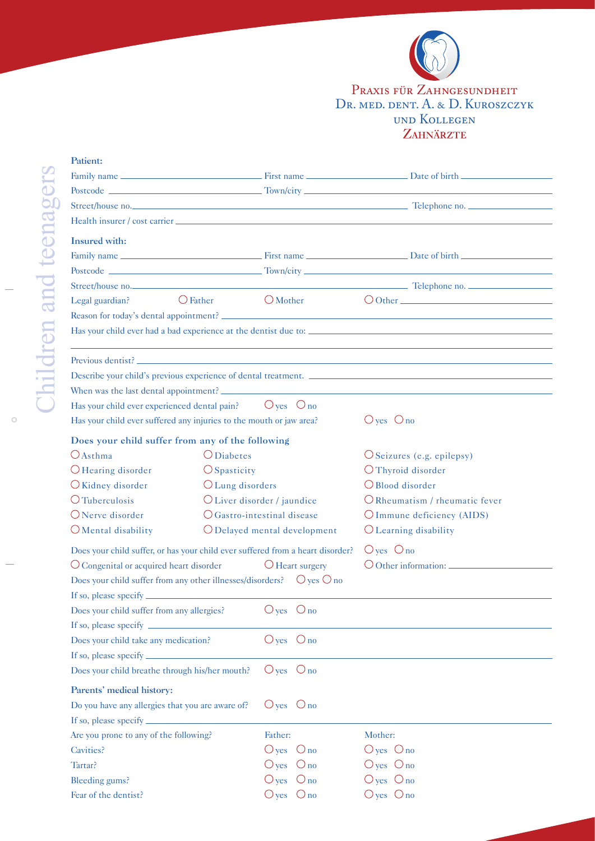

## und Kollegen<br>Zahnärzte Praxis für Zahngesundheit Dr. med. dent. A. & D. Kuroszczyk

 $\circ$ 

| Patient:                                                                                                                                                                                                                          |                                      |                |                              |                                                                |  |  |
|-----------------------------------------------------------------------------------------------------------------------------------------------------------------------------------------------------------------------------------|--------------------------------------|----------------|------------------------------|----------------------------------------------------------------|--|--|
|                                                                                                                                                                                                                                   |                                      |                |                              |                                                                |  |  |
|                                                                                                                                                                                                                                   |                                      |                |                              |                                                                |  |  |
|                                                                                                                                                                                                                                   |                                      |                |                              |                                                                |  |  |
|                                                                                                                                                                                                                                   |                                      |                |                              |                                                                |  |  |
| <b>Insured</b> with:                                                                                                                                                                                                              |                                      |                |                              |                                                                |  |  |
|                                                                                                                                                                                                                                   |                                      |                |                              |                                                                |  |  |
|                                                                                                                                                                                                                                   |                                      |                |                              |                                                                |  |  |
|                                                                                                                                                                                                                                   |                                      |                |                              |                                                                |  |  |
| $\bigcirc$ Father<br>Legal guardian?                                                                                                                                                                                              | $\bigcirc$ Mother                    |                |                              |                                                                |  |  |
|                                                                                                                                                                                                                                   |                                      |                |                              |                                                                |  |  |
|                                                                                                                                                                                                                                   |                                      |                |                              |                                                                |  |  |
|                                                                                                                                                                                                                                   |                                      |                |                              |                                                                |  |  |
|                                                                                                                                                                                                                                   |                                      |                |                              | Describe your child's previous experience of dental treatment. |  |  |
|                                                                                                                                                                                                                                   |                                      |                |                              |                                                                |  |  |
| Has your child ever experienced dental pain? $\bigcirc$ yes $\bigcirc$ no                                                                                                                                                         |                                      |                |                              |                                                                |  |  |
| Has your child ever suffered any injuries to the mouth or jaw area?                                                                                                                                                               |                                      |                |                              | $O$ yes $O$ no                                                 |  |  |
| Does your child suffer from any of the following                                                                                                                                                                                  |                                      |                |                              |                                                                |  |  |
| $O$ Asthma                                                                                                                                                                                                                        | $\bigcirc$ Diabetes                  |                | $O$ Seizures (e.g. epilepsy) |                                                                |  |  |
| $\bigcirc$ Hearing disorder                                                                                                                                                                                                       | $\bigcirc$ Spasticity                |                |                              | O Thyroid disorder                                             |  |  |
| O Kidney disorder                                                                                                                                                                                                                 | O Lung disorders                     |                |                              | O Blood disorder                                               |  |  |
| O Tuberculosis                                                                                                                                                                                                                    | O Liver disorder / jaundice          |                |                              | O Rheumatism / rheumatic fever                                 |  |  |
| $O$ Nerve disorder                                                                                                                                                                                                                | $\bigcirc$ Gastro-intestinal disease |                |                              | O Immune deficiency (AIDS)                                     |  |  |
| $O$ Mental disability                                                                                                                                                                                                             | O Delayed mental development         |                |                              | O Learning disability                                          |  |  |
| Does your child suffer, or has your child ever suffered from a heart disorder?                                                                                                                                                    |                                      | $O$ yes $O$ no |                              |                                                                |  |  |
| O Congenital or acquired heart disorder                                                                                                                                                                                           |                                      |                | $\bigcirc$ Heart surgery     | O Other information:                                           |  |  |
| Does your child suffer from any other illnesses/disorders? $\bigcirc$ yes $\bigcirc$ no                                                                                                                                           |                                      |                |                              |                                                                |  |  |
| If so, please specify $\frac{1}{2}$ is a set of the set of the set of the set of the set of the set of the set of the set of the set of the set of the set of the set of the set of the set of the set of the set of the set of t |                                      |                |                              |                                                                |  |  |
| Does your child suffer from any allergies?                                                                                                                                                                                        |                                      | $O$ yes $O$ no |                              |                                                                |  |  |
| If so, please specify _                                                                                                                                                                                                           |                                      |                |                              |                                                                |  |  |
| Does your child take any medication?                                                                                                                                                                                              |                                      | $O$ yes $O$ no |                              |                                                                |  |  |
| If so, please specify ______                                                                                                                                                                                                      |                                      |                |                              |                                                                |  |  |
| $O$ yes $O$ no<br>Does your child breathe through his/her mouth?                                                                                                                                                                  |                                      |                |                              |                                                                |  |  |
| Parents' medical history:                                                                                                                                                                                                         |                                      |                |                              |                                                                |  |  |
| Do you have any allergies that you are aware of?                                                                                                                                                                                  |                                      | $O$ yes $O$ no |                              |                                                                |  |  |
|                                                                                                                                                                                                                                   |                                      |                |                              |                                                                |  |  |
| Are you prone to any of the following?<br>Father:                                                                                                                                                                                 |                                      |                |                              | Mother:                                                        |  |  |
| Cavities?                                                                                                                                                                                                                         |                                      |                | $O$ yes $O$ no               | $O$ yes $O$ no                                                 |  |  |
| Tartar?                                                                                                                                                                                                                           |                                      |                | $\bigcirc$ yes $\bigcirc$ no | $O$ yes $O$ no                                                 |  |  |
| Bleeding gums?                                                                                                                                                                                                                    |                                      |                | $O_{\text{no}}$              | $O$ yes $O$ no                                                 |  |  |
| Fear of the dentist?                                                                                                                                                                                                              |                                      |                | $\bigcirc$ yes $\bigcirc$ no | $O$ yes $O$ no                                                 |  |  |